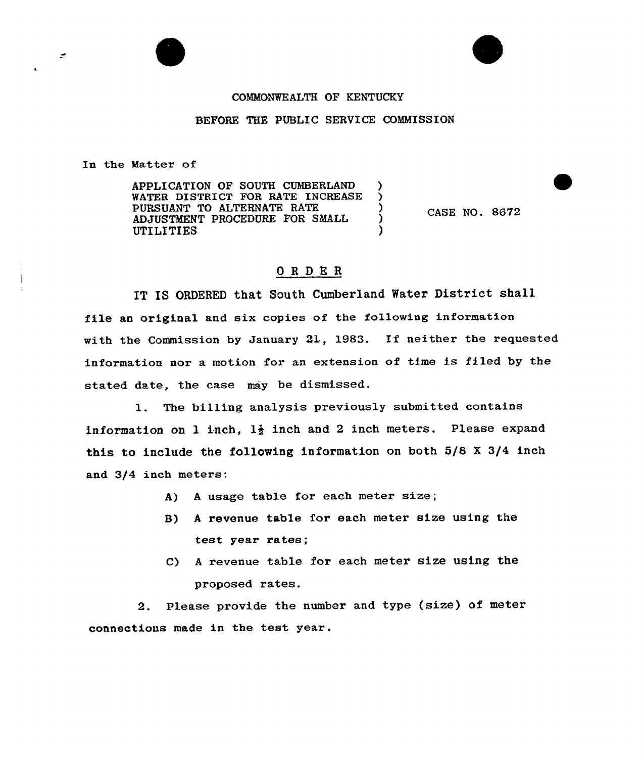## COMMONWEALTH OF KENTUCKY

## BEFORE THE PUBLIC SERVICE COMMISSION

In the Matter of

÷

APPLICATION OF SOUTH CUMBERLAND )<br>WATER DISTRICT FOR RATE INCREASE WATER DISTRICT FOR RATE INCREASE PURSUANT TO ALTERNATE RATE ) AD JUSTMENT PROCEDURE FOR SMALL ) UTILITIES

CASE NO. 8672

## ORDER

IT IS ORDERED that South Cumberland Water District shall file an original and six copies of the following information with the Commission by January 21, 1983. If neither the requested information nor a motion for an extension of time is filed by the stated date, the case may be dismissed.

1. The billing analysis previously submitted contains information on 1 inch,  $1\frac{1}{2}$  inch and 2 inch meters. Please expand this to include the following information on both 5/8 <sup>X</sup> 3/4 inch and 3/4 inch meters:

- A) <sup>A</sup> usage table for each meter size;
- 8) <sup>A</sup> revenue table for each meter size using the test year rates;
- C) <sup>A</sup> revenue table for each meter size using the proposed rates.

2. Please provide the number and type (size) of meter connections made in the test year.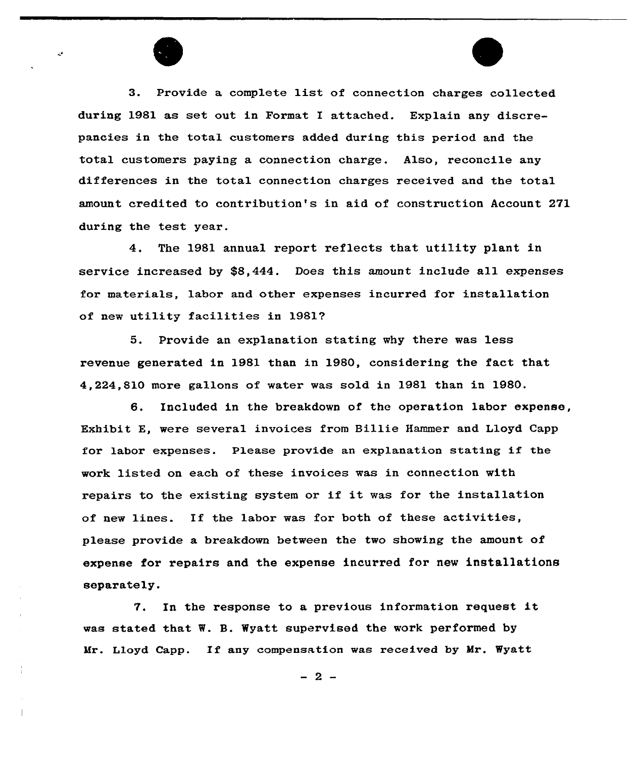3. Provide a complete list of connection charges collected during 1981 as set out in Format I attached. Explain any discrepancies in the total customers added during this period and the total customers paying a connection charge. Also, reconcile any differences in the total connection charges received and the total amount credited to contribution's in aid of construction Account 271 during the test year.

4. The 1981 annual report reflects that utility plant in service increased by \$8,444. Does this amount include all expenses for materials, labor and other expenses incurred for installation of new utility facilities in 1981?

5. Provide an explanation stating why there was less revenue generated in 1981 than in 1980, considering the fact that 4,224,810 more gallons of water was sold in 1981 than in 1980.

6. Included in the breakdown of the operation labor expense, Exhibit E, were several invoices from Billie Hammer and Lloyd Capp for labor expenses. Please provide an explanation stating if the work listed on each of these invoices was in connection with repairs to the existing system or if it was for the installation of new lines. If the labor was for both of these activities, please provide a breakdown between the two showing the amount of expense for repairs and the expense incurred for new installations separately.

7. In the response to <sup>a</sup> previous information request it was stated that W. B. Wyatt supervised the work performed by Mr. Lloyd Capp. Xf any compensation was received by Mr. Wyatt

 $-2-$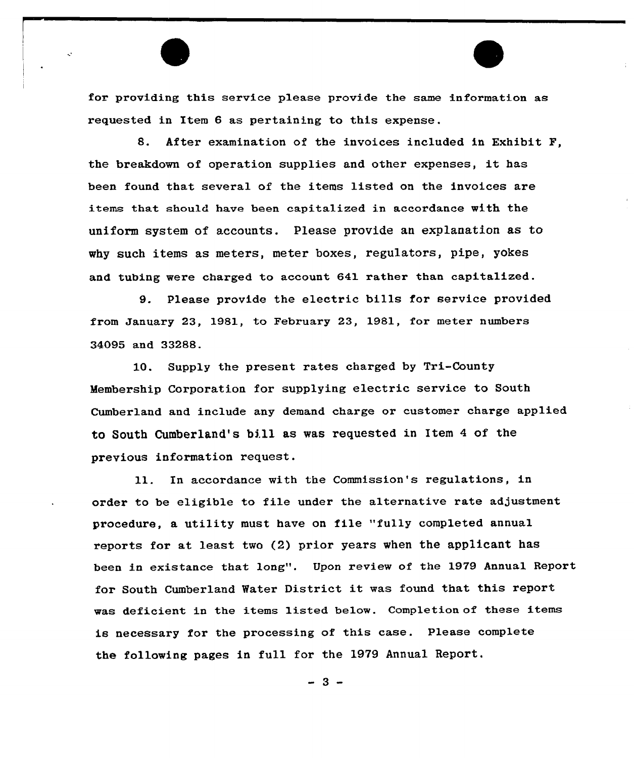

S. After examination of the invoices included in Exhibit F, the breakdown of operation supplies and other expenses, it has been found that several of the items listed on the invoices are items that should have been capitalized in accordance with the uniform system of accounts. Please provide an explanation as to why such items as meters, meter boxes, regulators, pipe, yokes and tubing were charged to account 641 rather than capitalized.

9. Please provide the electric bills for service provided from January 23, 1981, to February 23, 1981, for meter numbers 34095 and 33288.

1Q. Supply the present rates charged by Tri-County Membership Corporation for supplying electric service to South Cumberland and include any demand charge or customer charge applied to South Cumberland's bill as was requested in Item <sup>4</sup> of the previous information request.

11. In accordance with the Commission's regulations, in order to be eligible to file under the alternative rate adjustment procedure, a utility must have on file "fully completed annual reports for at least two (2) prior years when the applicant has been in existance that long". Upon review of the 1979 Annual Report for South Cumberland Water District it was found that this report was deficient in the items listed below. Completion of these items is necessary for the processing of this case. Please complete the following pages in full for the 1979 Annual Report.

 $-3-$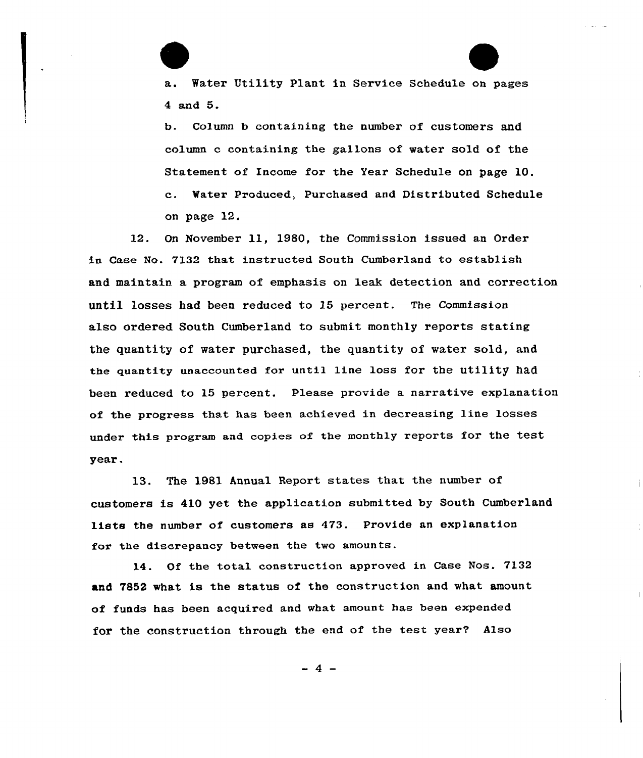Water Utility Plant in Service Schedule on pages 4 and 5.

E

b. Column b containing the number of customers and column c containing the gallons of water sold of the Statement of Income for the Year Schedule on page 10. c. Water Produced, Purchased and Distributed Schedule on page 12.

12. On November ll, 1980, the Commission issued an Order in Case No. 7132 that instructed South Cumberland to establish and maintain a program of emphasis on leak detection and correction until losses had been reduced to 15 percent. The Commission also ordered South Cumberland to submit monthly reports stating the quantity of water purchased, the quantity of water sold, and the quantity unaccounted for until line loss for the utility had been reduced to 15 percent. Please provide a narrative explanation of the progress that has been achieved in decreasing line losses under this program and copies of the monthly reports for the test year.

13. The 1981 Annual Report states that the number of customers is 410 yet the application submitted by South Cumberland lists the number of customers as 473. Provide an explanation for the discrepancy between the two amounts.

14. Of the total construction approved in Case Nos. 7132 and 7852 what is the status of the construction and what amount of funds has been acquired and what amount has been expended for the construction through the end of the test year? Also

 $-4-$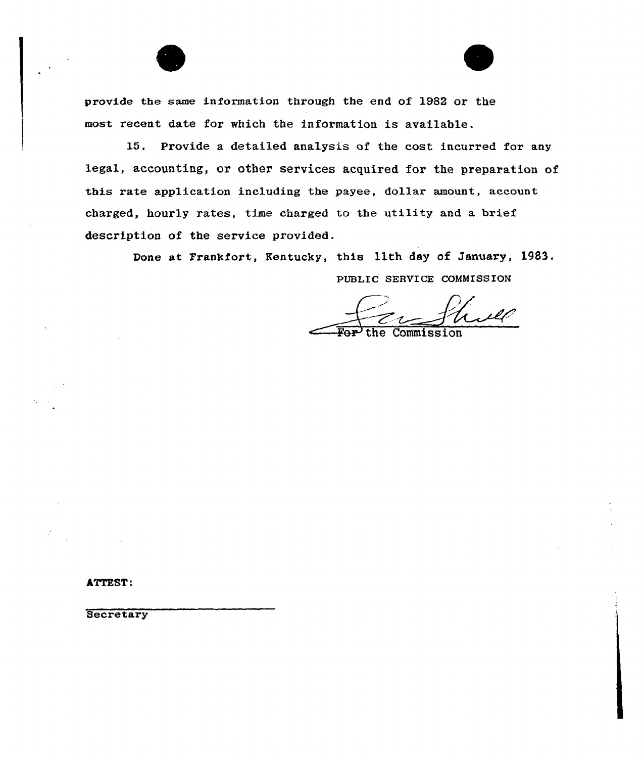provide the same information through the end of 1982 or the most recent date for which the information is available.

15. Provide a detailed analysis of the cost incurred for any legal, accounting, or other services acquired for the preparation of this rate application including the payee, dollar amount, account charged, hourly rates, time charged to the utility and a brief description of the service provided.

> Done at Frankfort, Kentucky, this 11th day of January, 1983. PUBLIC SERVICE COMMISSION

ill

**Commission** 

ATTEST:

**Secretary**